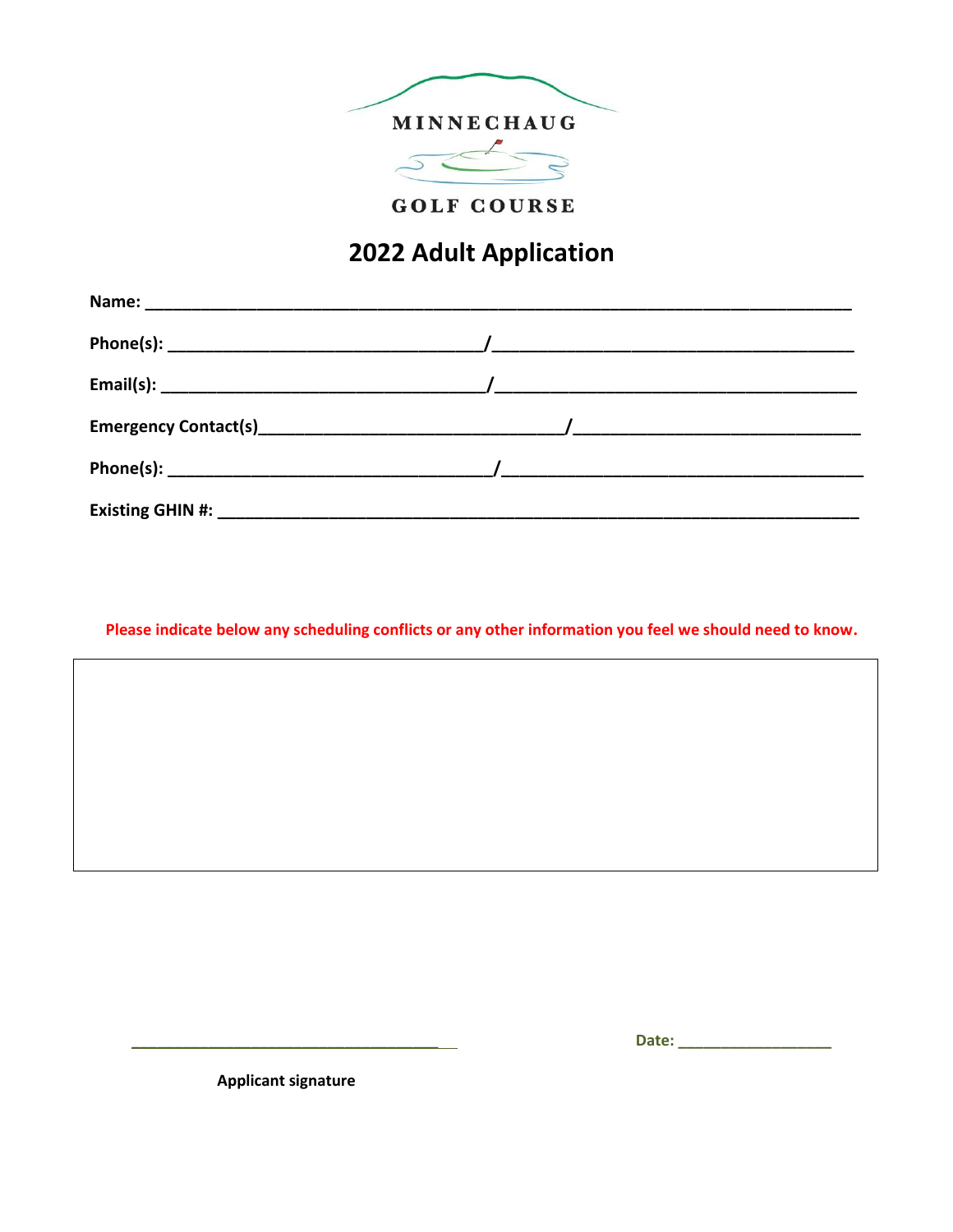

**GOLF COURSE** 

## 2022 Adult Application

Please indicate below any scheduling conflicts or any other information you feel we should need to know.

**Applicant signature**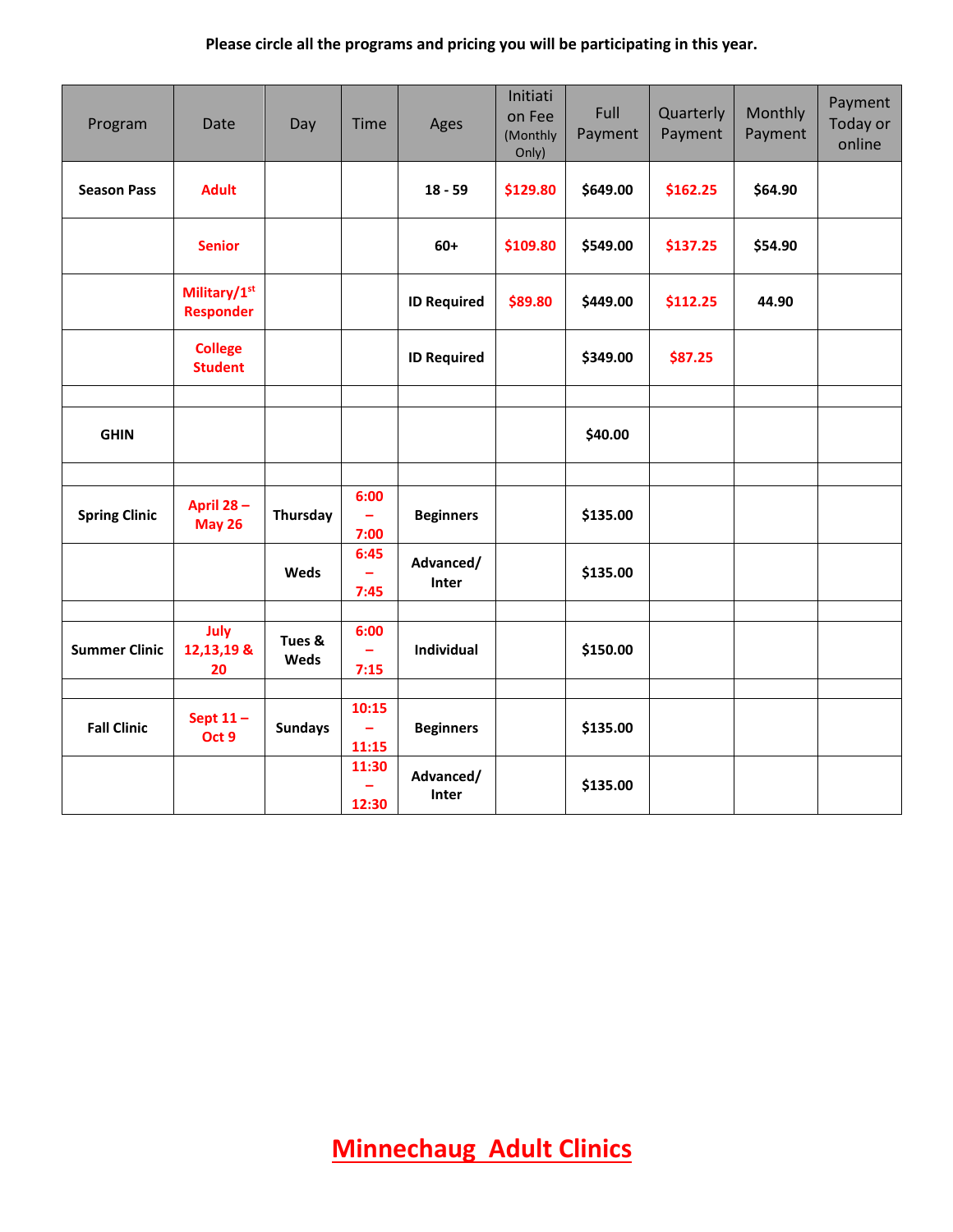## **Please circle all the programs and pricing you will be participating in this year.**

| Program              | Date                             | Day            | Time                 | Ages               | Initiati<br>on Fee<br>(Monthly<br>Only) | Full<br>Payment | Quarterly<br>Payment | Monthly<br>Payment | Payment<br>Today or<br>online |
|----------------------|----------------------------------|----------------|----------------------|--------------------|-----------------------------------------|-----------------|----------------------|--------------------|-------------------------------|
| <b>Season Pass</b>   | <b>Adult</b>                     |                |                      | $18 - 59$          | \$129.80                                | \$649.00        | \$162.25             | \$64.90            |                               |
|                      | <b>Senior</b>                    |                |                      | $60+$              | \$109.80                                | \$549.00        | \$137.25             | \$54.90            |                               |
|                      | Military/1st<br><b>Responder</b> |                |                      | <b>ID Required</b> | \$89.80                                 | \$449.00        | \$112.25             | 44.90              |                               |
|                      | <b>College</b><br><b>Student</b> |                |                      | <b>ID Required</b> |                                         | \$349.00        | \$87.25              |                    |                               |
| <b>GHIN</b>          |                                  |                |                      |                    |                                         | \$40.00         |                      |                    |                               |
| <b>Spring Clinic</b> | April 28-<br><b>May 26</b>       | Thursday       | 6:00<br>÷<br>7:00    | <b>Beginners</b>   |                                         | \$135.00        |                      |                    |                               |
|                      |                                  | Weds           | 6:45<br>7:45         | Advanced/<br>Inter |                                         | \$135.00        |                      |                    |                               |
| <b>Summer Clinic</b> | July<br>12,13,19 &<br>20         | Tues &<br>Weds | 6:00<br>7:15         | Individual         |                                         | \$150.00        |                      |                    |                               |
| <b>Fall Clinic</b>   | Sept $11 -$<br>Oct 9             | <b>Sundays</b> | 10:15<br>÷,<br>11:15 | <b>Beginners</b>   |                                         | \$135.00        |                      |                    |                               |
|                      |                                  |                | 11:30<br>12:30       | Advanced/<br>Inter |                                         | \$135.00        |                      |                    |                               |